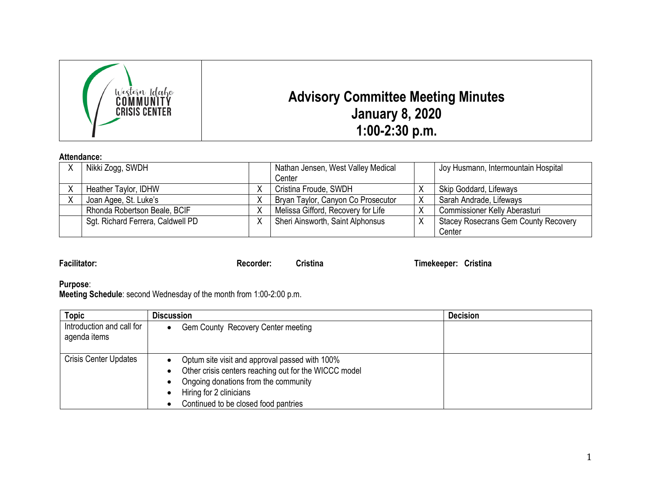

## **Attendance:**

| Nikki Zogg, SWDH                  |   | Nathan Jensen, West Valley Medical | Joy Husmann, Intermountain Hospital         |
|-----------------------------------|---|------------------------------------|---------------------------------------------|
|                                   |   | Center                             |                                             |
| Heather Taylor, IDHW              |   | Cristina Froude, SWDH              | Skip Goddard, Lifeways                      |
| Joan Agee, St. Luke's             |   | Bryan Taylor, Canyon Co Prosecutor | Sarah Andrade, Lifeways                     |
| Rhonda Robertson Beale, BCIF      | Χ | Melissa Gifford, Recovery for Life | <b>Commissioner Kelly Aberasturi</b>        |
| Sgt. Richard Ferrera, Caldwell PD | Χ | Sheri Ainsworth, Saint Alphonsus   | <b>Stacey Rosecrans Gem County Recovery</b> |
|                                   |   |                                    | Center                                      |

**Facilitator: Recorder: Cristina Timekeeper: Cristina**

**Purpose**:

**Meeting Schedule**: second Wednesday of the month from 1:00-2:00 p.m.

| <b>Topic</b>                              | <b>Discussion</b>                                                                                                                                                                                                  | <b>Decision</b> |
|-------------------------------------------|--------------------------------------------------------------------------------------------------------------------------------------------------------------------------------------------------------------------|-----------------|
| Introduction and call for<br>agenda items | Gem County Recovery Center meeting                                                                                                                                                                                 |                 |
| <b>Crisis Center Updates</b>              | Optum site visit and approval passed with 100%<br>Other crisis centers reaching out for the WICCC model<br>Ongoing donations from the community<br>Hiring for 2 clinicians<br>Continued to be closed food pantries |                 |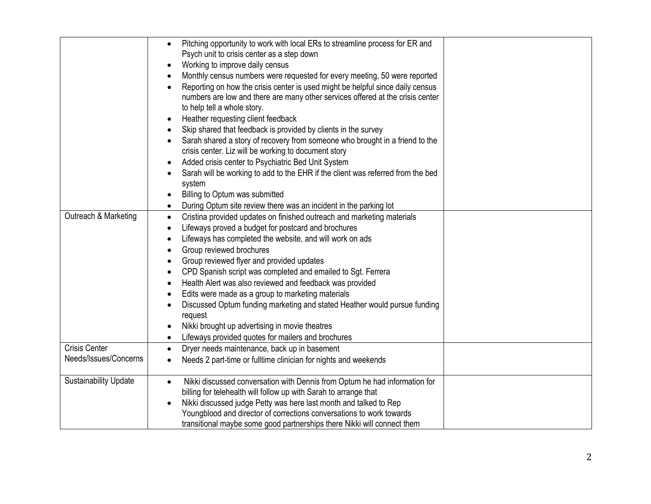|                                               | Pitching opportunity to work with local ERs to streamline process for ER and<br>$\bullet$<br>Psych unit to crisis center as a step down<br>Working to improve daily census<br>$\bullet$<br>Monthly census numbers were requested for every meeting, 50 were reported<br>$\bullet$<br>Reporting on how the crisis center is used might be helpful since daily census<br>numbers are low and there are many other services offered at the crisis center<br>to help tell a whole story.<br>Heather requesting client feedback<br>Skip shared that feedback is provided by clients in the survey<br>$\bullet$<br>Sarah shared a story of recovery from someone who brought in a friend to the<br>crisis center. Liz will be working to document story<br>Added crisis center to Psychiatric Bed Unit System<br>$\bullet$<br>Sarah will be working to add to the EHR if the client was referred from the bed<br>$\bullet$<br>system<br>Billing to Optum was submitted<br>$\bullet$<br>During Optum site review there was an incident in the parking lot<br>$\bullet$ |  |
|-----------------------------------------------|-----------------------------------------------------------------------------------------------------------------------------------------------------------------------------------------------------------------------------------------------------------------------------------------------------------------------------------------------------------------------------------------------------------------------------------------------------------------------------------------------------------------------------------------------------------------------------------------------------------------------------------------------------------------------------------------------------------------------------------------------------------------------------------------------------------------------------------------------------------------------------------------------------------------------------------------------------------------------------------------------------------------------------------------------------------------|--|
| Outreach & Marketing                          | Cristina provided updates on finished outreach and marketing materials<br>$\bullet$<br>Lifeways proved a budget for postcard and brochures<br>$\bullet$<br>Lifeways has completed the website, and will work on ads<br>$\bullet$<br>Group reviewed brochures<br>Group reviewed flyer and provided updates<br>$\bullet$<br>CPD Spanish script was completed and emailed to Sgt. Ferrera<br>$\bullet$<br>Health Alert was also reviewed and feedback was provided<br>$\bullet$<br>Edits were made as a group to marketing materials<br>$\bullet$<br>Discussed Optum funding marketing and stated Heather would pursue funding<br>$\bullet$<br>request<br>Nikki brought up advertising in movie theatres<br>$\bullet$<br>Lifeways provided quotes for mailers and brochures<br>$\bullet$                                                                                                                                                                                                                                                                           |  |
| <b>Crisis Center</b><br>Needs/Issues/Concerns | Dryer needs maintenance, back up in basement<br>$\bullet$<br>Needs 2 part-time or fulltime clinician for nights and weekends<br>$\bullet$                                                                                                                                                                                                                                                                                                                                                                                                                                                                                                                                                                                                                                                                                                                                                                                                                                                                                                                       |  |
| <b>Sustainability Update</b>                  | Nikki discussed conversation with Dennis from Optum he had information for<br>$\bullet$<br>billing for telehealth will follow up with Sarah to arrange that<br>Nikki discussed judge Petty was here last month and talked to Rep<br>Youngblood and director of corrections conversations to work towards<br>transitional maybe some good partnerships there Nikki will connect them                                                                                                                                                                                                                                                                                                                                                                                                                                                                                                                                                                                                                                                                             |  |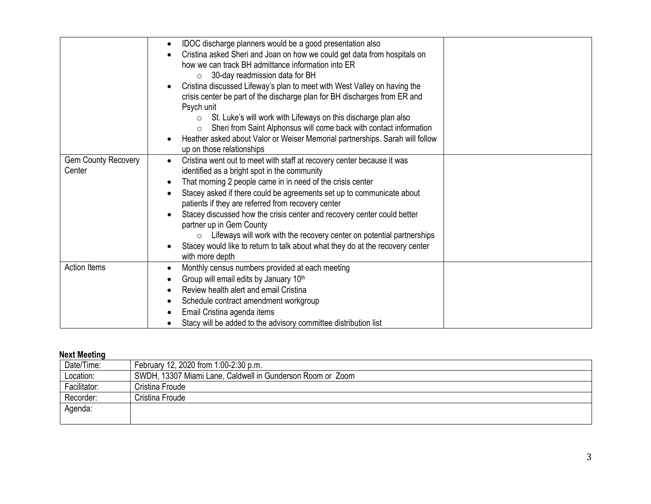|                                      | IDOC discharge planners would be a good presentation also<br>$\bullet$<br>Cristina asked Sheri and Joan on how we could get data from hospitals on<br>$\bullet$<br>how we can track BH admittance information into ER<br>30-day readmission data for BH<br>$\circ$<br>Cristina discussed Lifeway's plan to meet with West Valley on having the<br>$\bullet$<br>crisis center be part of the discharge plan for BH discharges from ER and<br>Psych unit<br>St. Luke's will work with Lifeways on this discharge plan also<br>$\circ$<br>Sheri from Saint Alphonsus will come back with contact information<br>$\circ$<br>Heather asked about Valor or Weiser Memorial partnerships. Sarah will follow<br>$\bullet$<br>up on those relationships |  |
|--------------------------------------|------------------------------------------------------------------------------------------------------------------------------------------------------------------------------------------------------------------------------------------------------------------------------------------------------------------------------------------------------------------------------------------------------------------------------------------------------------------------------------------------------------------------------------------------------------------------------------------------------------------------------------------------------------------------------------------------------------------------------------------------|--|
| <b>Gem County Recovery</b><br>Center | Cristina went out to meet with staff at recovery center because it was<br>$\bullet$<br>identified as a bright spot in the community<br>That morning 2 people came in in need of the crisis center<br>$\bullet$<br>Stacey asked if there could be agreements set up to communicate about<br>$\bullet$<br>patients if they are referred from recovery center<br>Stacey discussed how the crisis center and recovery center could better<br>$\bullet$<br>partner up in Gem County<br>Lifeways will work with the recovery center on potential partnerships<br>$\circ$<br>Stacey would like to return to talk about what they do at the recovery center<br>with more depth                                                                         |  |
| Action Items                         | Monthly census numbers provided at each meeting<br>$\bullet$<br>Group will email edits by January 10th<br>$\bullet$<br>Review health alert and email Cristina<br>$\bullet$<br>Schedule contract amendment workgroup<br>$\bullet$<br>Email Cristina agenda items<br>$\bullet$<br>Stacy will be added to the advisory committee distribution list                                                                                                                                                                                                                                                                                                                                                                                                |  |

## **Next Meeting**

| Date/Time:   | February 12, 2020 from 1:00-2:30 p.m.                      |
|--------------|------------------------------------------------------------|
| Location:    | SWDH, 13307 Miami Lane, Caldwell in Gunderson Room or Zoom |
| Facilitator: | Cristina Froude                                            |
| Recorder:    | Cristina Froude l                                          |
| Agenda:      |                                                            |
|              |                                                            |